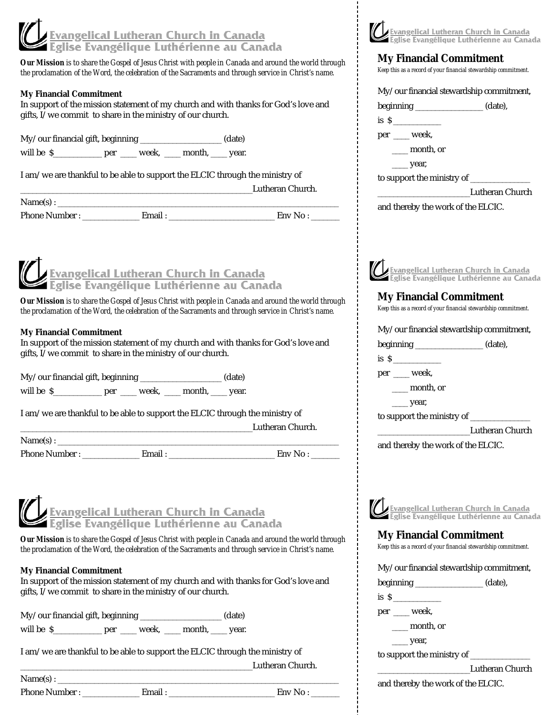# <u>Evangelical Lutheran Church in Canada</u><br>Eglise Evangélique Luthérienne au Canada

*Our Mission is to share the Gospel of Jesus Christ with people in Canada and around the world through the proclamation of the Word, the celebration of the Sacraments and through service in Christ's name.*

#### **My Financial Commitment**

In support of the mission statement of my church and with thanks for God's love and gifts, I/we commit to share in the ministry of our church.

My/our financial gift, beginning \_\_\_\_\_\_\_\_\_\_\_\_\_\_\_\_\_\_\_\_ (date)

will be  $\S$  per \_\_\_\_\_ week, \_\_\_\_ month, \_\_\_\_ year.

I am/we are thankful to be able to support the ELCIC through the ministry of

\_\_\_\_\_\_\_\_\_\_\_\_\_\_\_\_\_\_\_\_\_\_\_\_\_\_\_\_\_\_\_\_\_\_\_\_\_\_\_\_\_\_\_\_\_\_\_\_\_\_\_\_\_\_\_\_\_Lutheran Church.

 $Name(s):$ 

Phone Number : \_\_\_\_\_\_\_\_\_\_\_\_\_\_ Email : \_\_\_\_\_\_\_\_\_\_\_\_\_\_\_\_\_\_\_\_\_\_\_\_\_\_ Env No : \_\_\_\_\_\_\_

<u>Evangelical Lutheran Church in Canada</u><br>Eglise Evangélique Luthérienne au Canada

*Our Mission is to share the Gospel of Jesus Christ with people in Canada and around the world through the proclamation of the Word, the celebration of the Sacraments and through service in Christ's name.*

#### **My Financial Commitment**

In support of the mission statement of my church and with thanks for God's love and gifts, I/we commit to share in the ministry of our church.

My/our financial gift, beginning \_\_\_\_\_\_\_\_\_\_\_\_\_\_\_\_\_\_\_\_ (date)

will be  $\S$  per \_\_\_\_\_ week, \_\_\_\_ month, \_\_\_\_ year.

I am/we are thankful to be able to support the ELCIC through the ministry of

\_\_\_\_\_\_\_\_\_\_\_\_\_\_\_\_\_\_\_\_\_\_\_\_\_\_\_\_\_\_\_\_\_\_\_\_\_\_\_\_\_\_\_\_\_\_\_\_\_\_\_\_\_\_\_\_\_Lutheran Church.

 $Name(s):$ 

Phone Number : \_\_\_\_\_\_\_\_\_\_\_\_\_\_\_ Email : \_\_\_\_\_\_\_\_\_\_\_\_\_\_\_\_\_\_\_\_\_\_\_\_ Env No :

# <u>, Evangelical Lutheran Church in Canada</u><br>- Eglise Evangélique Luthérienne au Canada

*Our Mission is to share the Gospel of Jesus Christ with people in Canada and around the world through the proclamation of the Word, the celebration of the Sacraments and through service in Christ's name.*

## **My Financial Commitment**

In support of the mission statement of my church and with thanks for God's love and gifts, I/we commit to share in the ministry of our church.

My/our financial gift, beginning \_\_\_\_\_\_\_\_\_\_\_\_\_\_\_\_\_\_\_\_ (date)

will be  $\S$  per \_\_\_\_ week, \_\_\_ month, \_\_\_ year.

I am/we are thankful to be able to support the ELCIC through the ministry of \_\_\_\_\_\_\_\_\_\_\_\_\_\_\_\_\_\_\_\_\_\_\_\_\_\_\_\_\_\_\_\_\_\_\_\_\_\_\_\_\_\_\_\_\_\_\_\_\_\_\_\_\_\_\_\_\_Lutheran Church.

 $Name(s):$ 

Phone Number : \_\_\_\_\_\_\_\_\_\_\_\_\_\_ Email : \_\_\_\_\_\_\_\_\_\_\_\_\_\_\_\_\_\_\_\_\_\_\_\_\_\_ Env No : \_\_\_\_\_\_\_



#### **My Financial Commitment**

*Keep this as a record of your financial stewardship commitment.*

My/our financial stewardship commitment,

beginning \_\_\_\_\_\_\_\_\_\_\_\_\_\_\_\_\_ (date),

is  $\sim$ 

per \_\_\_\_ week,

\_\_\_\_ month, or

\_\_\_\_ year,

to support the ministry of \_\_\_\_\_\_\_\_\_\_\_\_\_\_\_

\_\_\_\_\_\_\_\_\_\_\_\_\_\_\_\_\_\_\_\_\_\_\_Lutheran Church

and thereby the work of the ELCIC.



## **My Financial Commitment**

*Keep this as a record of your financial stewardship commitment.*

My/our financial stewardship commitment,

beginning \_\_\_\_\_\_\_\_\_\_\_\_\_\_\_\_\_ (date),

is  $\frac{\text{S}}{\text{S}}$ 

per \_\_\_\_ week,

\_\_\_\_ month, or

 $\rightharpoonup$  year,

to support the ministry of

\_\_\_\_\_\_\_\_\_\_\_\_\_\_\_\_\_\_\_\_\_\_\_Lutheran Church

and thereby the work of the ELCIC.



## **My Financial Commitment**

*Keep this as a record of your financial stewardship commitment.*

|  |  | My/our financial stewardship commitment, |
|--|--|------------------------------------------|
|  |  |                                          |

| beginning | (date), |
|-----------|---------|
|-----------|---------|

is  $\frac{1}{s}$ 

per \_\_\_\_ week,

\_\_\_\_ month, or  $\equiv$  year,

to support the ministry of

\_\_\_\_\_\_\_\_\_\_\_\_\_\_\_\_\_\_\_\_\_\_\_Lutheran Church

and thereby the work of the ELCIC.